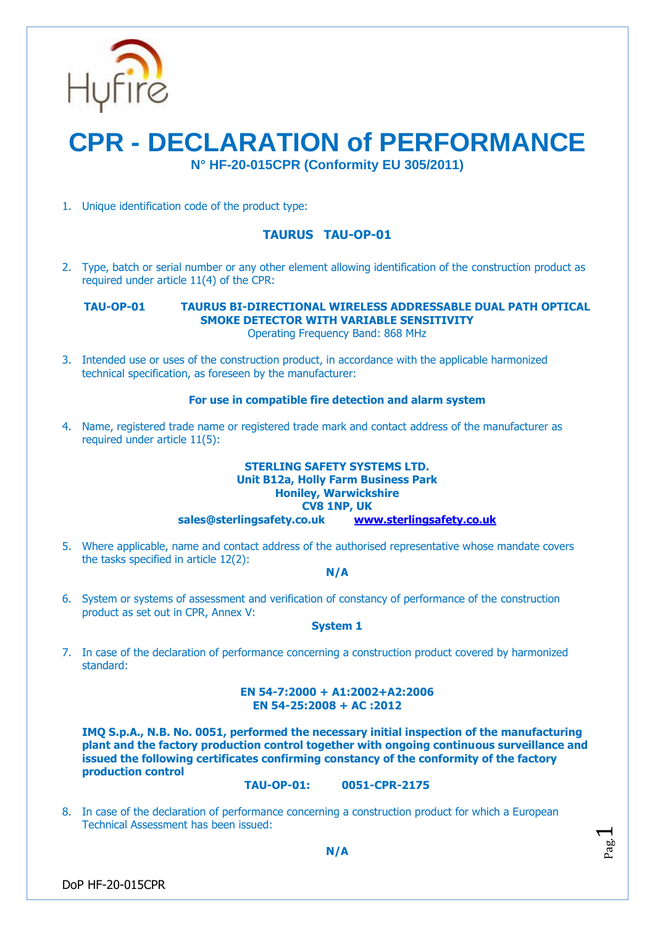

# **CPR - DECLARATION of PERFORMANCE N° HF-20-015CPR (Conformity EU 305/2011)**

1. Unique identification code of the product type:

# **TAURUS TAU-OP-01**

2. Type, batch or serial number or any other element allowing identification of the construction product as required under article 11(4) of the CPR:

# **TAU-OP-01 TAURUS BI-DIRECTIONAL WIRELESS ADDRESSABLE DUAL PATH OPTICAL SMOKE DETECTOR WITH VARIABLE SENSITIVITY**

Operating Frequency Band: 868 MHz

3. Intended use or uses of the construction product, in accordance with the applicable harmonized technical specification, as foreseen by the manufacturer:

### **For use in compatible fire detection and alarm system**

4. Name, registered trade name or registered trade mark and contact address of the manufacturer as required under article 11(5):

## **STERLING SAFETY SYSTEMS LTD. Unit B12a, Holly Farm Business Park Honiley, Warwickshire CV8 1NP, UK sales@sterlingsafety.co.uk [www.sterlingsafety.co.uk](http://www.sterlingsafety.co.uk/)**

5. Where applicable, name and contact address of the authorised representative whose mandate covers the tasks specified in article 12(2):

#### **N/A**

6. System or systems of assessment and verification of constancy of performance of the construction product as set out in CPR, Annex V:

## **System 1**

7. In case of the declaration of performance concerning a construction product covered by harmonized standard:

#### **EN 54-7:2000 + A1:2002+A2:2006 EN 54-25:2008 + AC :2012**

**IMQ S.p.A., N.B. No. 0051, performed the necessary initial inspection of the manufacturing plant and the factory production control together with ongoing continuous surveillance and issued the following certificates confirming constancy of the conformity of the factory production control**

#### **TAU-OP-01: 0051-CPR-2175**

8. In case of the declaration of performance concerning a construction product for which a European Technical Assessment has been issued:

Pag.  $\overline{\phantom{0}}$ 

DoP HF-20-015CPR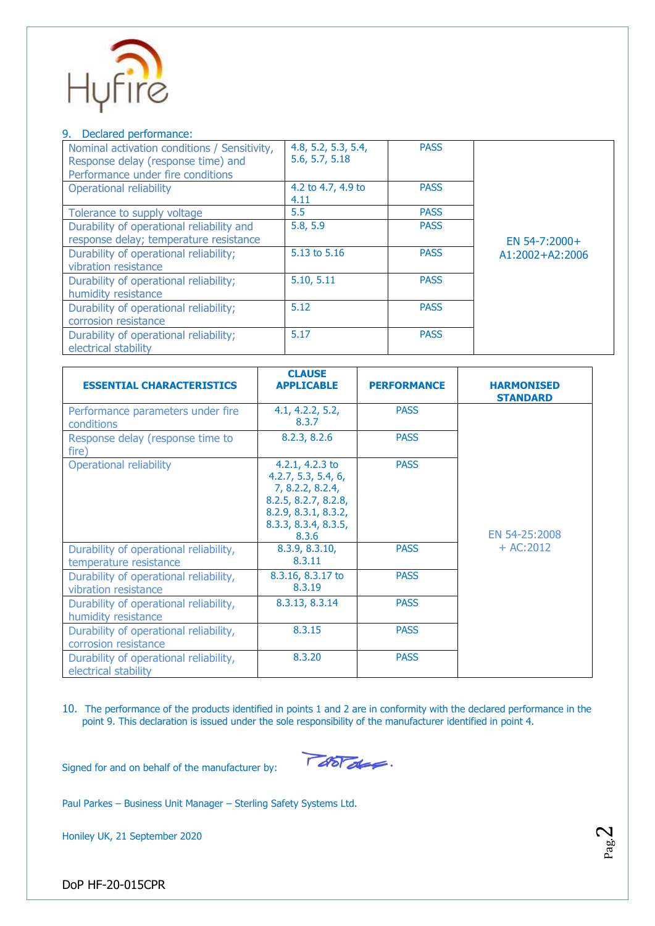

#### 9. Declared performance:

| Nominal activation conditions / Sensitivity,<br>Response delay (response time) and<br>Performance under fire conditions | 4.8, 5.2, 5.3, 5.4,<br>5.6, 5.7, 5.18 | <b>PASS</b> |                 |
|-------------------------------------------------------------------------------------------------------------------------|---------------------------------------|-------------|-----------------|
| Operational reliability                                                                                                 | 4.2 to 4.7, 4.9 to<br>4.11            | <b>PASS</b> |                 |
| Tolerance to supply voltage                                                                                             | 5.5                                   | <b>PASS</b> |                 |
| Durability of operational reliability and<br>response delay; temperature resistance                                     | 5.8, 5.9                              | <b>PASS</b> | EN 54-7:2000+   |
| Durability of operational reliability;<br>vibration resistance                                                          | 5.13 to 5.16                          | <b>PASS</b> | A1:2002+A2:2006 |
| Durability of operational reliability;<br>humidity resistance                                                           | 5.10, 5.11                            | <b>PASS</b> |                 |
| Durability of operational reliability;<br>corrosion resistance                                                          | 5.12                                  | <b>PASS</b> |                 |
| Durability of operational reliability;<br>electrical stability                                                          | 5.17                                  | <b>PASS</b> |                 |

| <b>ESSENTIAL CHARACTERISTICS</b>                                 | <b>CLAUSE</b><br><b>APPLICABLE</b>                                                                                                          | <b>PERFORMANCE</b> | <b>HARMONISED</b><br><b>STANDARD</b> |
|------------------------------------------------------------------|---------------------------------------------------------------------------------------------------------------------------------------------|--------------------|--------------------------------------|
| Performance parameters under fire<br>conditions                  | 4.1, 4.2.2, 5.2,<br>8.3.7                                                                                                                   | <b>PASS</b>        |                                      |
| Response delay (response time to<br>fire)                        | 8.2.3, 8.2.6                                                                                                                                | <b>PASS</b>        |                                      |
| <b>Operational reliability</b>                                   | 4.2.1, 4.2.3 to<br>4.2.7, 5.3, 5.4, 6,<br>7, 8.2.2, 8.2.4,<br>8.2.5, 8.2.7, 8.2.8,<br>8.2.9, 8.3.1, 8.3.2,<br>8.3.3, 8.3.4, 8.3.5,<br>8.3.6 | <b>PASS</b>        | EN 54-25:2008<br>$+ AC:2012$         |
| Durability of operational reliability,<br>temperature resistance | 8.3.9, 8.3.10,<br>8.3.11                                                                                                                    | <b>PASS</b>        |                                      |
| Durability of operational reliability,<br>vibration resistance   | 8.3.16, 8.3.17 to<br>8.3.19                                                                                                                 | <b>PASS</b>        |                                      |
| Durability of operational reliability,<br>humidity resistance    | 8.3.13, 8.3.14                                                                                                                              | <b>PASS</b>        |                                      |
| Durability of operational reliability,<br>corrosion resistance   | 8.3.15                                                                                                                                      | <b>PASS</b>        |                                      |
| Durability of operational reliability,<br>electrical stability   | 8.3.20                                                                                                                                      | <b>PASS</b>        |                                      |

10. The performance of the products identified in points 1 and 2 are in conformity with the declared performance in the point 9. This declaration is issued under the sole responsibility of the manufacturer identified in point 4.

Tootale.

Signed for and on behalf of the manufacturer by:

Paul Parkes – Business Unit Manager – Sterling Safety Systems Ltd.

Honiley UK, 21 September 2020